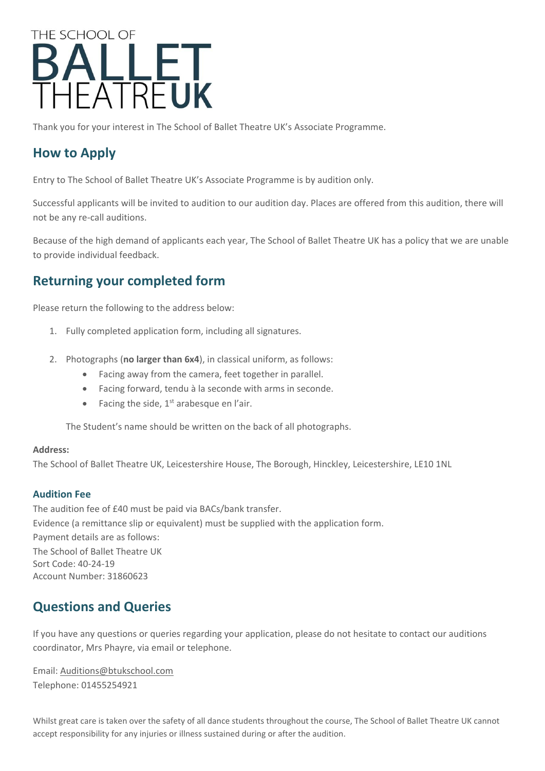# THE SCHOOL OF **BALLET**<br>THEATREUK

Thank you for your interest in The School of Ballet Theatre UK's Associate Programme.

# **How to Apply**

Entry to The School of Ballet Theatre UK's Associate Programme is by audition only.

Successful applicants will be invited to audition to our audition day. Places are offered from this audition, there will not be any re-call auditions.

Because of the high demand of applicants each year, The School of Ballet Theatre UK has a policy that we are unable to provide individual feedback.

## **Returning your completed form**

Please return the following to the address below:

- 1. Fully completed application form, including all signatures.
- 2. Photographs (**no larger than 6x4**), in classical uniform, as follows:
	- Facing away from the camera, feet together in parallel.
	- Facing forward, tendu à la seconde with arms in seconde.
	- Facing the side,  $1<sup>st</sup>$  arabesque en l'air.

The Student's name should be written on the back of all photographs.

#### **Address:**

The School of Ballet Theatre UK, Leicestershire House, The Borough, Hinckley, Leicestershire, LE10 1NL

#### **Audition Fee**

The audition fee of £40 must be paid via BACs/bank transfer. Evidence (a remittance slip or equivalent) must be supplied with the application form. Payment details are as follows: The School of Ballet Theatre UK Sort Code: 40-24-19 Account Number: 31860623

# **Questions and Queries**

If you have any questions or queries regarding your application, please do not hesitate to contact our auditions coordinator, Mrs Phayre, via email or telephone.

Email: [Auditions@btukschool.com](mailto:Auditions@btukschool.com) Telephone: 01455254921

Whilst great care is taken over the safety of all dance students throughout the course, The School of Ballet Theatre UK cannot accept responsibility for any injuries or illness sustained during or after the audition.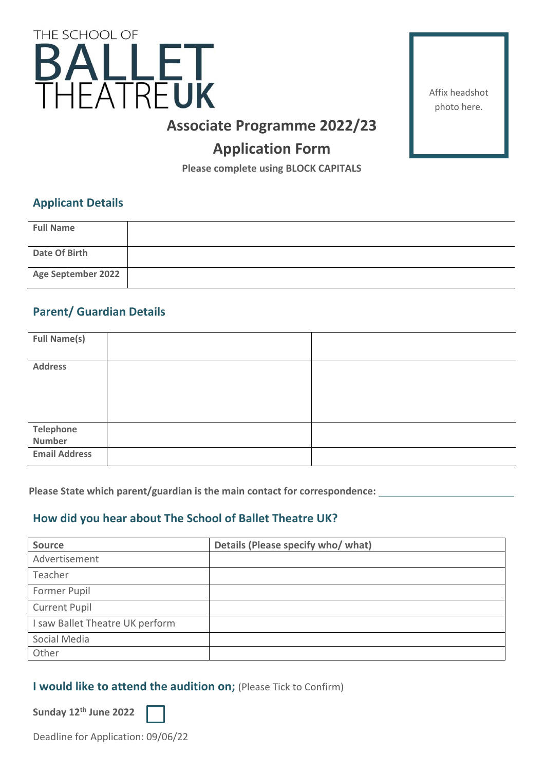

Affix headshot photo here.

# **Associate Programme 2022/23**

# **Application Form**

**Please complete using BLOCK CAPITALS**

#### **Applicant Details**

| <b>Full Name</b>   |  |
|--------------------|--|
| Date Of Birth      |  |
| Age September 2022 |  |

## **Parent/ Guardian Details**

| <b>Full Name(s)</b>  |  |
|----------------------|--|
|                      |  |
| <b>Address</b>       |  |
|                      |  |
|                      |  |
|                      |  |
|                      |  |
|                      |  |
|                      |  |
| <b>Telephone</b>     |  |
|                      |  |
| Number               |  |
| <b>Email Address</b> |  |
|                      |  |
|                      |  |

**Please State which parent/guardian is the main contact for correspondence:**

## **How did you hear about The School of Ballet Theatre UK?**

| <b>Source</b>                   | Details (Please specify who/ what) |
|---------------------------------|------------------------------------|
| Advertisement                   |                                    |
| Teacher                         |                                    |
| Former Pupil                    |                                    |
| <b>Current Pupil</b>            |                                    |
| I saw Ballet Theatre UK perform |                                    |
| Social Media                    |                                    |
| Other                           |                                    |

#### **I would like to attend the audition on; (Please Tick to Confirm)**

**Sunday 12th June 2022**

Deadline for Application: 09/06/22